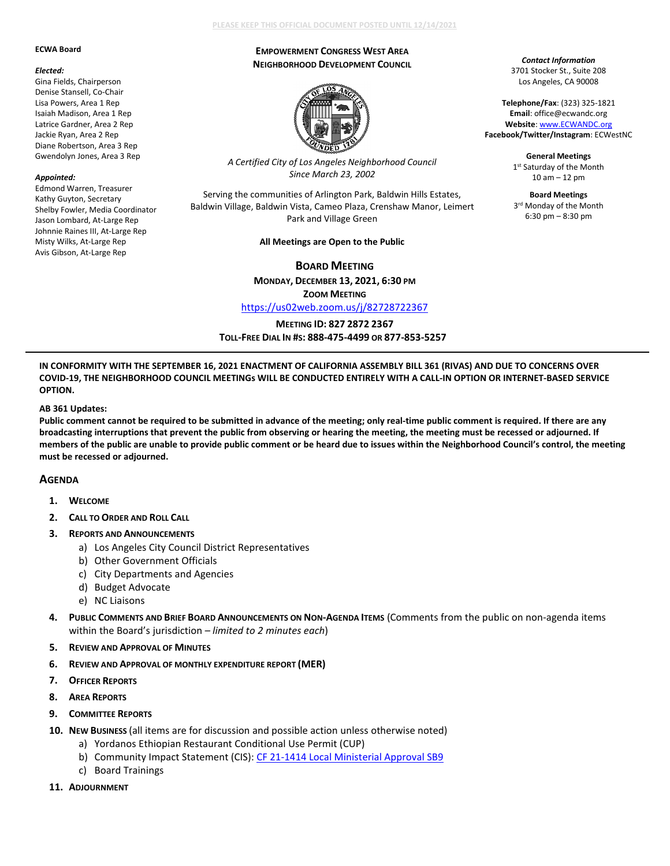#### **ECWA Board**

#### *Elected:*

Gina Fields, Chairperson Denise Stansell, Co-Chair Lisa Powers, Area 1 Rep Isaiah Madison, Area 1 Rep Latrice Gardner, Area 2 Rep Jackie Ryan, Area 2 Rep Diane Robertson, Area 3 Rep Gwendolyn Jones, Area 3 Rep

### *Appointed:*

Edmond Warren, Treasurer Kathy Guyton, Secretary Shelby Fowler, Media Coordinator Jason Lombard, At-Large Rep Johnnie Raines III, At-Large Rep Misty Wilks, At-Large Rep Avis Gibson, At-Large Rep

### **PLEASE KEEP THIS OFFICIAL DOCUMENT POSTED UNTIL 12/14/2021**

### **EMPOWERMENT CONGRESS WEST AREA NEIGHBORHOOD DEVELOPMENT COUNCIL**

*Contact Information* 3701 Stocker St., Suite 208 Los Angeles, CA 90008 **Telephone/Fax**: (323) 325-1821 **Email**: office@ecwandc.org **Website**[: www.ECWANDC.org](http://www.ecwandc.org/) **Facebook/Twitter/Instagram**: ECWestNC **General Meetings** 1st Saturday of the Month 10 am – 12 pm **Board Meetings** 3rd Monday of the Month 6:30 pm – 8:30 pm



*A Certified City of Los Angeles Neighborhood Council Since March 23, 2002*

Serving the communities of Arlington Park, Baldwin Hills Estates, Baldwin Village, Baldwin Vista, Cameo Plaza, Crenshaw Manor, Leimert Park and Village Green

#### **All Meetings are Open to the Public**

**BOARD MEETING**

**MONDAY, DECEMBER 13, 2021, 6:30 PM**

**ZOOM MEETING**

<https://us02web.zoom.us/j/82728722367>

**MEETING ID: 827 2872 2367**

**TOLL-FREE DIAL IN #S: 888-475-4499 OR 877-853-5257**

**IN CONFORMITY WITH THE SEPTEMBER 16, 2021 ENACTMENT OF CALIFORNIA ASSEMBLY BILL 361 (RIVAS) AND DUE TO CONCERNS OVER COVID-19, THE NEIGHBORHOOD COUNCIL MEETINGs WILL BE CONDUCTED ENTIRELY WITH A CALL-IN OPTION OR INTERNET-BASED SERVICE OPTION.**

### **AB 361 Updates:**

**Public comment cannot be required to be submitted in advance of the meeting; only real-time public comment is required. If there are any broadcasting interruptions that prevent the public from observing or hearing the meeting, the meeting must be recessed or adjourned. If members of the public are unable to provide public comment or be heard due to issues within the Neighborhood Council's control, the meeting must be recessed or adjourned.**

## **AGENDA**

- **1. WELCOME**
- **2. CALL TO ORDER AND ROLL CALL**
- **3. REPORTS AND ANNOUNCEMENTS** 
	- a) Los Angeles City Council District Representatives
	- b) Other Government Officials
	- c) City Departments and Agencies
	- d) Budget Advocate
	- e) NC Liaisons
- **4. PUBLIC COMMENTS AND BRIEF BOARD ANNOUNCEMENTS ON NON-AGENDA ITEMS** (Comments from the public on non-agenda items within the Board's jurisdiction *– limited to 2 minutes each*)
- **5. REVIEW AND APPROVAL OF MINUTES**
- **6. REVIEW AND APPROVAL OF MONTHLY EXPENDITURE REPORT (MER)**
- **7. OFFICER REPORTS**
- **8. AREA REPORTS**
- **9. COMMITTEE REPORTS**
- **10. NEW BUSINESS** (all items are for discussion and possible action unless otherwise noted)
	- a) Yordanos Ethiopian Restaurant Conditional Use Permit (CUP)
	- b) Community Impact Statement (CIS)[: CF 21-1414 Local Ministerial Approval SB9](https://cityclerk.lacity.org/lacityclerkconnect/index.cfm?fa=ccfi.viewrecord&cfnumber=21-1414)
	- c) Board Trainings
- **11. ADJOURNMENT**